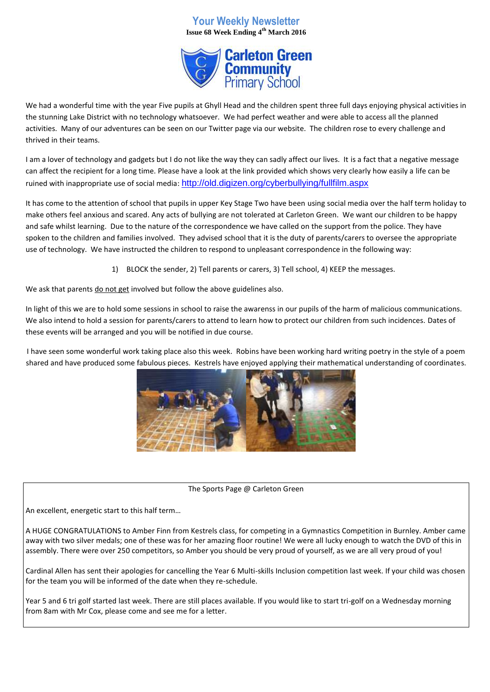## **Your Weekly Newsletter Issue 68 Week Ending 4th March 2016**



We had a wonderful time with the year Five pupils at Ghyll Head and the children spent three full days enjoying physical activities in the stunning Lake District with no technology whatsoever. We had perfect weather and were able to access all the planned activities. Many of our adventures can be seen on our Twitter page via our website. The children rose to every challenge and thrived in their teams.

I am a lover of technology and gadgets but I do not like the way they can sadly affect our lives. It is a fact that a negative message can affect the recipient for a long time. Please have a look at the link provided which shows very clearly how easily a life can be ruined with inappropriate use of social media: <http://old.digizen.org/cyberbullying/fullfilm.aspx>

It has come to the attention of school that pupils in upper Key Stage Two have been using social media over the half term holiday to make others feel anxious and scared. Any acts of bullying are not tolerated at Carleton Green. We want our children to be happy and safe whilst learning. Due to the nature of the correspondence we have called on the support from the police. They have spoken to the children and families involved. They advised school that it is the duty of parents/carers to oversee the appropriate use of technology. We have instructed the children to respond to unpleasant correspondence in the following way:

1) BLOCK the sender, 2) Tell parents or carers, 3) Tell school, 4) KEEP the messages.

We ask that parents do not get involved but follow the above guidelines also.

In light of this we are to hold some sessions in school to raise the awarenss in our pupils of the harm of malicious communications. We also intend to hold a session for parents/carers to attend to learn how to protect our children from such incidences. Dates of these events will be arranged and you will be notified in due course.

I have seen some wonderful work taking place also this week. Robins have been working hard writing poetry in the style of a poem shared and have produced some fabulous pieces. Kestrels have enjoyed applying their mathematical understanding of coordinates.



The Sports Page @ Carleton Green

An excellent, energetic start to this half term…

A HUGE CONGRATULATIONS to Amber Finn from Kestrels class, for competing in a Gymnastics Competition in Burnley. Amber came away with two silver medals; one of these was for her amazing floor routine! We were all lucky enough to watch the DVD of this in assembly. There were over 250 competitors, so Amber you should be very proud of yourself, as we are all very proud of you!

Cardinal Allen has sent their apologies for cancelling the Year 6 Multi-skills Inclusion competition last week. If your child was chosen for the team you will be informed of the date when they re-schedule.

Year 5 and 6 tri golf started last week. There are still places available. If you would like to start tri-golf on a Wednesday morning from 8am with Mr Cox, please come and see me for a letter.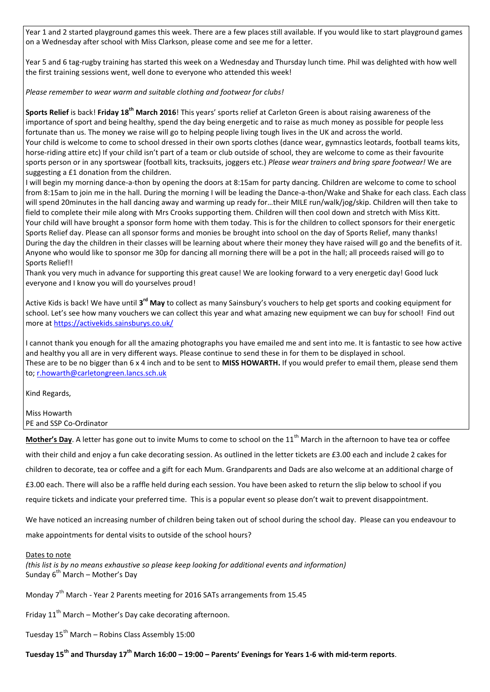Year 1 and 2 started playground games this week. There are a few places still available. If you would like to start playground games on a Wednesday after school with Miss Clarkson, please come and see me for a letter.

Year 5 and 6 tag-rugby training has started this week on a Wednesday and Thursday lunch time. Phil was delighted with how well the first training sessions went, well done to everyone who attended this week!

*Please remember to wear warm and suitable clothing and footwear for clubs!*

**Sports Relief** is back! **Friday 18th March 2016**! This years' sports relief at Carleton Green is about raising awareness of the importance of sport and being healthy, spend the day being energetic and to raise as much money as possible for people less fortunate than us. The money we raise will go to helping people living tough lives in the UK and across the world. Your child is welcome to come to school dressed in their own sports clothes (dance wear, gymnastics leotards, football teams kits, horse-riding attire etc) If your child isn't part of a team or club outside of school, they are welcome to come as their favourite sports person or in any sportswear (football kits, tracksuits, joggers etc.) *Please wear trainers and bring spare footwear!* We are suggesting a £1 donation from the children.

I will begin my morning dance-a-thon by opening the doors at 8:15am for party dancing. Children are welcome to come to school from 8:15am to join me in the hall. During the morning I will be leading the Dance-a-thon/Wake and Shake for each class. Each class will spend 20minutes in the hall dancing away and warming up ready for…their MILE run/walk/jog/skip. Children will then take to field to complete their mile along with Mrs Crooks supporting them. Children will then cool down and stretch with Miss Kitt. Your child will have brought a sponsor form home with them today. This is for the children to collect sponsors for their energetic Sports Relief day. Please can all sponsor forms and monies be brought into school on the day of Sports Relief, many thanks! During the day the children in their classes will be learning about where their money they have raised will go and the benefits of it. Anyone who would like to sponsor me 30p for dancing all morning there will be a pot in the hall; all proceeds raised will go to Sports Relief!!

Thank you very much in advance for supporting this great cause! We are looking forward to a very energetic day! Good luck everyone and I know you will do yourselves proud!

Active Kids is back! We have until 3<sup>rd</sup> May to collect as many Sainsbury's vouchers to help get sports and cooking equipment for school. Let's see how many vouchers we can collect this year and what amazing new equipment we can buy for school! Find out more a[t https://activekids.sainsburys.co.uk/](https://activekids.sainsburys.co.uk/)

I cannot thank you enough for all the amazing photographs you have emailed me and sent into me. It is fantastic to see how active and healthy you all are in very different ways. Please continue to send these in for them to be displayed in school. These are to be no bigger than 6 x 4 inch and to be sent to **MISS HOWARTH.** If you would prefer to email them, please send them to; [r.howarth@carletongreen.lancs.sch.uk](mailto:r.howarth@carletongreen.lancs.sch.uk)

Kind Regards,

Miss Howarth PE and SSP Co-Ordinator

**Mother's Day**. A letter has gone out to invite Mums to come to school on the 11<sup>th</sup> March in the afternoon to have tea or coffee with their child and enjoy a fun cake decorating session. As outlined in the letter tickets are £3.00 each and include 2 cakes for children to decorate, tea or coffee and a gift for each Mum. Grandparents and Dads are also welcome at an additional charge of £3.00 each. There will also be a raffle held during each session. You have been asked to return the slip below to school if you require tickets and indicate your preferred time. This is a popular event so please don't wait to prevent disappointment.

We have noticed an increasing number of children being taken out of school during the school day. Please can you endeavour to make appointments for dental visits to outside of the school hours?

## Dates to note

*(this list is by no means exhaustive so please keep looking for additional events and information)* Sunday  $6^{th}$  March – Mother's Day

Monday 7<sup>th</sup> March - Year 2 Parents meeting for 2016 SATs arrangements from 15.45

Friday  $11<sup>th</sup>$  March – Mother's Day cake decorating afternoon.

Tuesday 15<sup>th</sup> March – Robins Class Assembly 15:00

**Tuesday 15th and Thursday 17th March 16:00 – 19:00 – Parents' Evenings for Years 1-6 with mid-term reports**.